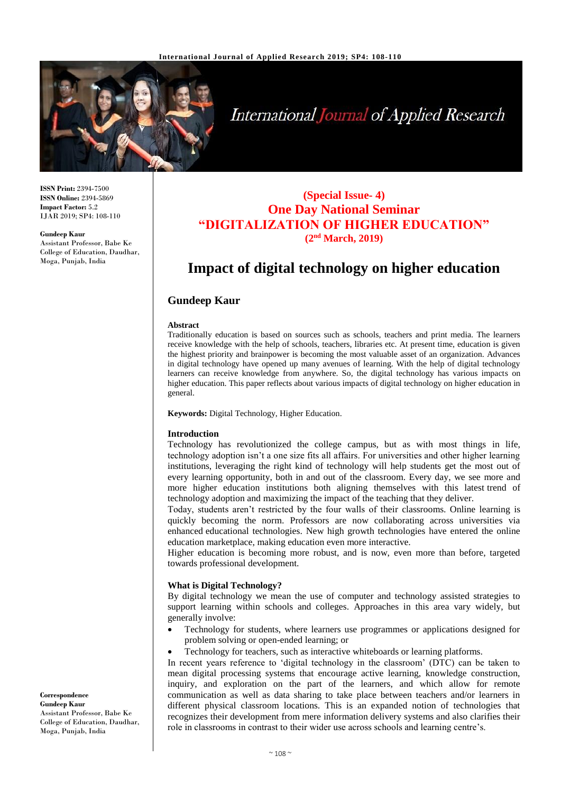

# **International Journal of Applied Research**

**ISSN Print:** 2394-7500 **ISSN Online:** 2394-5869 **Impact Factor:** 5.2 IJAR 2019; SP4: 108-110

#### **Gundeep Kaur**

Assistant Professor, Babe Ke College of Education, Daudhar, Moga, Punjab, India

### **(Special Issue- 4) One Day National Seminar "DIGITALIZATION OF HIGHER EDUCATION" (2nd March, 2019)**

## **Impact of digital technology on higher education**

#### **Gundeep Kaur**

#### **Abstract**

Traditionally education is based on sources such as schools, teachers and print media. The learners receive knowledge with the help of schools, teachers, libraries etc. At present time, education is given the highest priority and brainpower is becoming the most valuable asset of an organization. Advances in digital technology have opened up many avenues of learning. With the help of digital technology learners can receive knowledge from anywhere. So, the digital technology has various impacts on higher education. This paper reflects about various impacts of digital technology on higher education in general.

**Keywords:** Digital Technology, Higher Education.

#### **Introduction**

Technology has revolutionized the college campus, but as with most things in life, technology adoption isn't a one size fits all affairs. For universities and other higher learning institutions, leveraging the right kind of technology will help students get the most out of every learning opportunity, both in and out of the classroom. Every day, we see more and more higher education institutions both aligning themselves with this latest trend of technology adoption and maximizing the impact of the teaching that they deliver.

Today, students aren't restricted by the four walls of their classrooms. Online learning is quickly becoming the norm. Professors are now collaborating across universities via enhanced educational technologies. New high growth technologies have entered the online education marketplace, making education even more interactive.

Higher education is becoming more robust, and is now, even more than before, targeted towards professional development.

#### **What is Digital Technology?**

By digital technology we mean the use of computer and technology assisted strategies to support learning within schools and colleges. Approaches in this area vary widely, but generally involve:

- Technology for students, where learners use programmes or applications designed for problem solving or open-ended learning; or
- Technology for teachers, such as interactive whiteboards or learning platforms.

In recent years reference to 'digital technology in the classroom' (DTC) can be taken to mean digital processing systems that encourage active learning, knowledge construction, inquiry, and exploration on the part of the learners, and which allow for remote communication as well as data sharing to take place between teachers and/or learners in different physical classroom locations. This is an expanded notion of technologies that recognizes their development from mere information delivery systems and also clarifies their role in classrooms in contrast to their wider use across schools and learning centre's.

**Correspondence Gundeep Kaur** Assistant Professor, Babe Ke College of Education, Daudhar, Moga, Punjab, India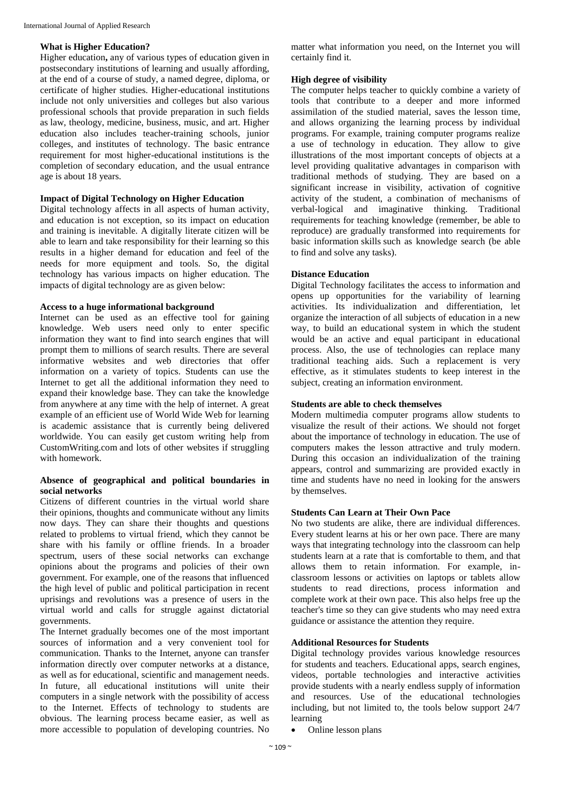#### **What is Higher Education?**

Higher education**,** any of various types of education given in postsecondary institutions of learning and usually affording, at the end of a course of study, a named degree, diploma, or certificate of higher studies. Higher-educational institutions include not only universities and colleges but also various professional schools that provide preparation in such fields as law, theology, medicine, business, music, and art. Higher education also includes teacher-training schools, junior colleges, and institutes of technology. The basic entrance requirement for most higher-educational institutions is the completion of secondary education, and the usual entrance age is about 18 years.

#### **Impact of Digital Technology on Higher Education**

Digital technology affects in all aspects of human activity, and education is not exception, so its impact on education and training is inevitable. A digitally literate citizen will be able to learn and take responsibility for their learning so this results in a higher demand for education and feel of the needs for more equipment and tools. So, the digital technology has various impacts on higher education. The impacts of digital technology are as given below:

#### **Access to a huge informational background**

Internet can be used as an effective tool for gaining knowledge. Web users need only to enter specific information they want to find into search engines that will prompt them to millions of search results. There are several informative websites and web directories that offer information on a variety of topics. Students can use the Internet to get all the additional information they need to expand their knowledge base. They can take the knowledge from anywhere at any time with the help of internet. A great example of an efficient use of World Wide Web for learning is academic assistance that is currently being delivered worldwide. You can easily get custom writing help from CustomWriting.com and lots of other websites if struggling with homework.

#### **Absence of geographical and political boundaries in social networks**

Citizens of different countries in the virtual world share their opinions, thoughts and communicate without any limits now days. They can share their thoughts and questions related to problems to virtual friend, which they cannot be share with his family or offline friends. In a broader spectrum, users of these social networks can exchange opinions about the programs and policies of their own government. For example, one of the reasons that influenced the high level of public and political participation in recent uprisings and revolutions was a presence of users in the virtual world and calls for struggle against dictatorial governments.

The Internet gradually becomes one of the most important sources of information and a very convenient tool for communication. Thanks to the Internet, anyone can transfer information directly over computer networks at a distance, as well as for educational, scientific and management needs. In future, all educational institutions will unite their computers in a single network with the possibility of access to the Internet. Effects of technology to students are obvious. The learning process became easier, as well as more accessible to population of developing countries. No

matter what information you need, on the Internet you will certainly find it.

#### **High degree of visibility**

The computer helps teacher to quickly combine a variety of tools that contribute to a deeper and more informed assimilation of the studied material, saves the lesson time, and allows organizing the learning process by individual programs. For example, training computer programs realize a use of technology in education. They allow to give illustrations of the most important concepts of objects at a level providing qualitative advantages in comparison with traditional methods of studying. They are based on a significant increase in visibility, activation of cognitive activity of the student, a combination of mechanisms of verbal-logical and imaginative thinking. Traditional requirements for teaching knowledge (remember, be able to reproduce) are gradually transformed into requirements for basic information skills such as knowledge search (be able to find and solve any tasks).

#### **Distance Education**

Digital Technology facilitates the access to information and opens up opportunities for the variability of learning activities. Its individualization and differentiation, let organize the interaction of all subjects of education in a new way, to build an educational system in which the student would be an active and equal participant in educational process. Also, the use of technologies can replace many traditional teaching aids. Such a replacement is very effective, as it stimulates students to keep interest in the subject, creating an information environment.

#### **Students are able to check themselves**

Modern multimedia computer programs allow students to visualize the result of their actions. We should not forget about the importance of technology in education. The use of computers makes the lesson attractive and truly modern. During this occasion an individualization of the training appears, control and summarizing are provided exactly in time and students have no need in looking for the answers by themselves.

#### **Students Can Learn at Their Own Pace**

No two students are alike, there are individual differences. Every student learns at his or her own pace. There are many ways that integrating technology into the classroom can help students learn at a rate that is comfortable to them, and that allows them to retain information. For example, inclassroom lessons or activities on laptops or tablets allow students to read directions, process information and complete work at their own pace. This also helps free up the teacher's time so they can give students who may need extra guidance or assistance the attention they require.

#### **Additional Resources for Students**

Digital technology provides various knowledge resources for students and teachers. Educational apps, search engines, videos, portable technologies and interactive activities provide students with a nearly endless supply of information and resources. Use of the educational technologies including, but not limited to, the tools below support 24/7 learning

• Online lesson plans